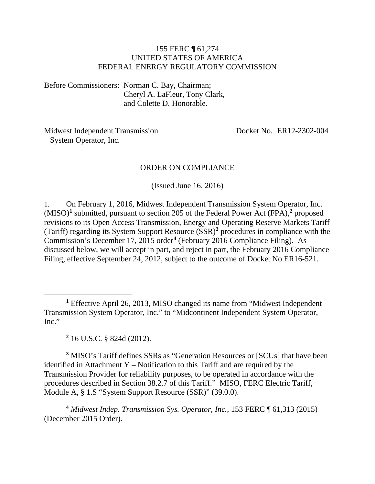#### 155 FERC ¶ 61,274 UNITED STATES OF AMERICA FEDERAL ENERGY REGULATORY COMMISSION

Before Commissioners: Norman C. Bay, Chairman; Cheryl A. LaFleur, Tony Clark, and Colette D. Honorable.

Midwest Independent Transmission System Operator, Inc.

Docket No. ER12-2302-004

#### ORDER ON COMPLIANCE

(Issued June 16, 2016)

1. On February 1, 2016, Midwest Independent Transmission System Operator, Inc. (MISO)**[1](#page-0-0)** submitted, pursuant to section 205 of the Federal Power Act (FPA),**[2](#page-0-1)** proposed revisions to its Open Access Transmission, Energy and Operating Reserve Markets Tariff (Tariff) regarding its System Support Resource (SSR)**[3](#page-0-2)** procedures in compliance with the Commission's December 17, 2015 order**[4](#page-0-3)** (February 2016 Compliance Filing). As discussed below, we will accept in part, and reject in part, the February 2016 Compliance Filing, effective September 24, 2012, subject to the outcome of Docket No ER16-521.

<span id="page-0-0"></span>**<sup>1</sup>** Effective April 26, 2013, MISO changed its name from "Midwest Independent Transmission System Operator, Inc." to "Midcontinent Independent System Operator, Inc."

**<sup>2</sup>** 16 U.S.C. § 824d (2012).

 $\overline{a}$ 

<span id="page-0-2"></span><span id="page-0-1"></span>**<sup>3</sup>** MISO's Tariff defines SSRs as "Generation Resources or [SCUs] that have been identified in Attachment Y – Notification to this Tariff and are required by the Transmission Provider for reliability purposes, to be operated in accordance with the procedures described in Section 38.2.7 of this Tariff." MISO, FERC Electric Tariff, Module A, § 1.S "System Support Resource (SSR)" (39.0.0).

<span id="page-0-3"></span>**<sup>4</sup>** *Midwest Indep. Transmission Sys. Operator, Inc.*, 153 FERC ¶ 61,313 (2015) (December 2015 Order).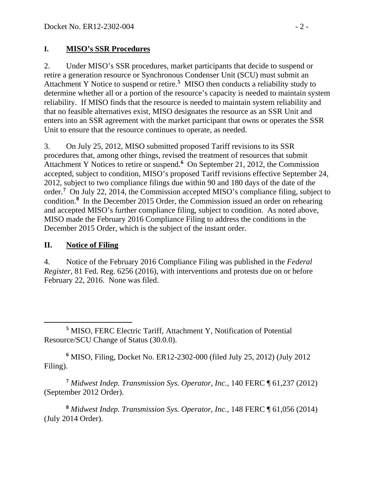### **I. MISO's SSR Procedures**

2. Under MISO's SSR procedures, market participants that decide to suspend or retire a generation resource or Synchronous Condenser Unit (SCU) must submit an Attachment Y Notice to suspend or retire.**[5](#page-1-0)** MISO then conducts a reliability study to determine whether all or a portion of the resource's capacity is needed to maintain system reliability. If MISO finds that the resource is needed to maintain system reliability and that no feasible alternatives exist, MISO designates the resource as an SSR Unit and enters into an SSR agreement with the market participant that owns or operates the SSR Unit to ensure that the resource continues to operate, as needed.

3. On July 25, 2012, MISO submitted proposed Tariff revisions to its SSR procedures that, among other things, revised the treatment of resources that submit Attachment Y Notices to retire or suspend.**[6](#page-1-1)** On September 21, 2012, the Commission accepted, subject to condition, MISO's proposed Tariff revisions effective September 24, 2012, subject to two compliance filings due within 90 and 180 days of the date of the order.**[7](#page-1-2)** On July 22, 2014, the Commission accepted MISO's compliance filing, subject to condition.**[8](#page-1-3)** In the December 2015 Order, the Commission issued an order on rehearing and accepted MISO's further compliance filing, subject to condition. As noted above, MISO made the February 2016 Compliance Filing to address the conditions in the December 2015 Order, which is the subject of the instant order.

# **II. Notice of Filing**

4. Notice of the February 2016 Compliance Filing was published in the *Federal Register*, 81 Fed. Reg. 6256 (2016), with interventions and protests due on or before February 22, 2016. None was filed.

<span id="page-1-1"></span>**<sup>6</sup>** MISO, Filing, Docket No. ER12-2302-000 (filed July 25, 2012) (July 2012 Filing).

<span id="page-1-2"></span>**<sup>7</sup>** *Midwest Indep. Transmission Sys. Operator, Inc.*, 140 FERC ¶ 61,237 (2012) (September 2012 Order).

<span id="page-1-3"></span>**<sup>8</sup>** *Midwest Indep. Transmission Sys. Operator, Inc.*, 148 FERC ¶ 61,056 (2014) (July 2014 Order).

<span id="page-1-0"></span> $\overline{a}$ **<sup>5</sup>** MISO, FERC Electric Tariff, Attachment Y, Notification of Potential Resource/SCU Change of Status (30.0.0).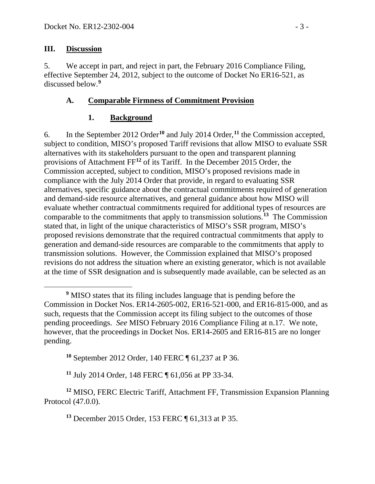#### **III. Discussion**

5. We accept in part, and reject in part, the February 2016 Compliance Filing, effective September 24, 2012, subject to the outcome of Docket No ER16-521, as discussed below.**[9](#page-2-0)**

### **A. Comparable Firmness of Commitment Provision**

### **1. Background**

6. In the September 2012 Order**[10](#page-2-1)** and July 2014 Order, **[11](#page-2-2)** the Commission accepted, subject to condition, MISO's proposed Tariff revisions that allow MISO to evaluate SSR alternatives with its stakeholders pursuant to the open and transparent planning provisions of Attachment FF**[12](#page-2-3)** of its Tariff. In the December 2015 Order, the Commission accepted, subject to condition, MISO's proposed revisions made in compliance with the July 2014 Order that provide, in regard to evaluating SSR alternatives, specific guidance about the contractual commitments required of generation and demand-side resource alternatives, and general guidance about how MISO will evaluate whether contractual commitments required for additional types of resources are comparable to the commitments that apply to transmission solutions. **[13](#page-2-4)** The Commission stated that, in light of the unique characteristics of MISO's SSR program, MISO's proposed revisions demonstrate that the required contractual commitments that apply to generation and demand-side resources are comparable to the commitments that apply to transmission solutions. However, the Commission explained that MISO's proposed revisions do not address the situation where an existing generator, which is not available at the time of SSR designation and is subsequently made available, can be selected as an

**<sup>10</sup>** September 2012 Order, 140 FERC ¶ 61,237 at P 36.

**<sup>11</sup>** July 2014 Order, 148 FERC ¶ 61,056 at PP 33-34.

<span id="page-2-4"></span><span id="page-2-3"></span><span id="page-2-2"></span><span id="page-2-1"></span>**<sup>12</sup>** MISO, FERC Electric Tariff, Attachment FF, Transmission Expansion Planning Protocol (47.0.0).

**<sup>13</sup>** December 2015 Order, 153 FERC ¶ 61,313 at P 35.

<span id="page-2-0"></span> $\overline{a}$ **<sup>9</sup>** MISO states that its filing includes language that is pending before the Commission in Docket Nos. ER14-2605-002, ER16-521-000, and ER16-815-000, and as such, requests that the Commission accept its filing subject to the outcomes of those pending proceedings. *See* MISO February 2016 Compliance Filing at n.17. We note, however, that the proceedings in Docket Nos. ER14-2605 and ER16-815 are no longer pending.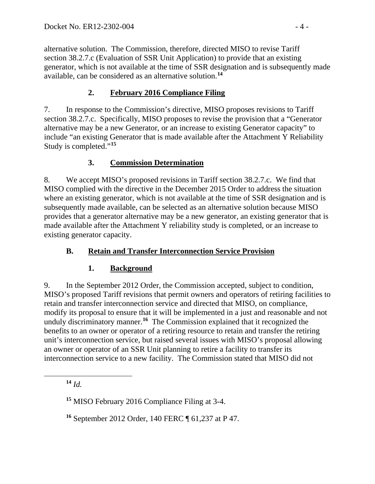alternative solution. The Commission, therefore, directed MISO to revise Tariff section 38.2.7.c (Evaluation of SSR Unit Application) to provide that an existing generator, which is not available at the time of SSR designation and is subsequently made available, can be considered as an alternative solution. **[14](#page-3-0)**

# **2. February 2016 Compliance Filing**

7. In response to the Commission's directive, MISO proposes revisions to Tariff section 38.2.7.c. Specifically, MISO proposes to revise the provision that a "Generator alternative may be a new Generator, or an increase to existing Generator capacity" to include "an existing Generator that is made available after the Attachment Y Reliability Study is completed."**[15](#page-3-1)**

# **3. Commission Determination**

8. We accept MISO's proposed revisions in Tariff section 38.2.7.c. We find that MISO complied with the directive in the December 2015 Order to address the situation where an existing generator, which is not available at the time of SSR designation and is subsequently made available, can be selected as an alternative solution because MISO provides that a generator alternative may be a new generator, an existing generator that is made available after the Attachment Y reliability study is completed, or an increase to existing generator capacity.

# **B. Retain and Transfer Interconnection Service Provision**

# **1. Background**

9. In the September 2012 Order, the Commission accepted, subject to condition, MISO's proposed Tariff revisions that permit owners and operators of retiring facilities to retain and transfer interconnection service and directed that MISO, on compliance, modify its proposal to ensure that it will be implemented in a just and reasonable and not unduly discriminatory manner.**[16](#page-3-2)** The Commission explained that it recognized the benefits to an owner or operator of a retiring resource to retain and transfer the retiring unit's interconnection service, but raised several issues with MISO's proposal allowing an owner or operator of an SSR Unit planning to retire a facility to transfer its interconnection service to a new facility. The Commission stated that MISO did not

<span id="page-3-2"></span><span id="page-3-1"></span><span id="page-3-0"></span> $\overline{a}$ 

**<sup>14</sup>** *Id.*

**<sup>15</sup>** MISO February 2016 Compliance Filing at 3-4.

**<sup>16</sup>** September 2012 Order, 140 FERC ¶ 61,237 at P 47.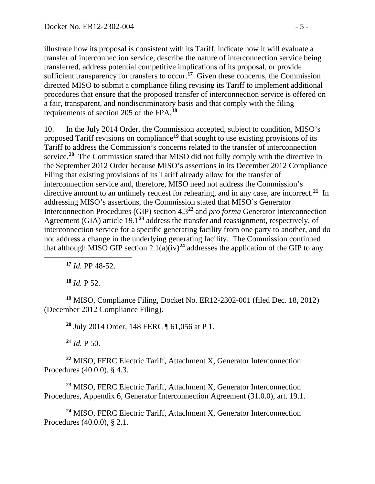illustrate how its proposal is consistent with its Tariff, indicate how it will evaluate a transfer of interconnection service, describe the nature of interconnection service being transferred, address potential competitive implications of its proposal, or provide sufficient transparency for transfers to occur.<sup>[17](#page-4-0)</sup> Given these concerns, the Commission directed MISO to submit a compliance filing revising its Tariff to implement additional procedures that ensure that the proposed transfer of interconnection service is offered on a fair, transparent, and nondiscriminatory basis and that comply with the filing requirements of section 205 of the FPA.**[18](#page-4-1)**

10. In the July 2014 Order, the Commission accepted, subject to condition, MISO's proposed Tariff revisions on compliance**[19](#page-4-2)** that sought to use existing provisions of its Tariff to address the Commission's concerns related to the transfer of interconnection service.**[20](#page-4-3)** The Commission stated that MISO did not fully comply with the directive in the September 2012 Order because MISO's assertions in its December 2012 Compliance Filing that existing provisions of its Tariff already allow for the transfer of interconnection service and, therefore, MISO need not address the Commission's directive amount to an untimely request for rehearing, and in any case, are incorrect.**[21](#page-4-4)** In addressing MISO's assertions, the Commission stated that MISO's Generator Interconnection Procedures (GIP) section 4.3**[22](#page-4-5)** and *pro forma* Generator Interconnection Agreement (GIA) article 19.1**[23](#page-4-6)** address the transfer and reassignment, respectively, of interconnection service for a specific generating facility from one party to another, and do not address a change in the underlying generating facility. The Commission continued that although MISO GIP section  $2.1(a)(iv)^{24}$  $2.1(a)(iv)^{24}$  $2.1(a)(iv)^{24}$  addresses the application of the GIP to any

**<sup>17</sup>** *Id.* PP 48-52.

**<sup>18</sup>** *Id.* P 52.

<span id="page-4-0"></span> $\overline{a}$ 

<span id="page-4-3"></span><span id="page-4-2"></span><span id="page-4-1"></span>**<sup>19</sup>** MISO, Compliance Filing, Docket No. ER12-2302-001 (filed Dec. 18, 2012) (December 2012 Compliance Filing).

**<sup>20</sup>** July 2014 Order, 148 FERC ¶ 61,056 at P 1.

 $^{21}$  *Id.* P 50.

<span id="page-4-5"></span><span id="page-4-4"></span>**<sup>22</sup>** MISO, FERC Electric Tariff, Attachment X, Generator Interconnection Procedures (40.0.0), § 4.3.

<span id="page-4-6"></span>**<sup>23</sup>** MISO, FERC Electric Tariff, Attachment X, Generator Interconnection Procedures, Appendix 6, Generator Interconnection Agreement (31.0.0), art. 19.1.

<span id="page-4-7"></span>**<sup>24</sup>** MISO, FERC Electric Tariff, Attachment X, Generator Interconnection Procedures (40.0.0), § 2.1.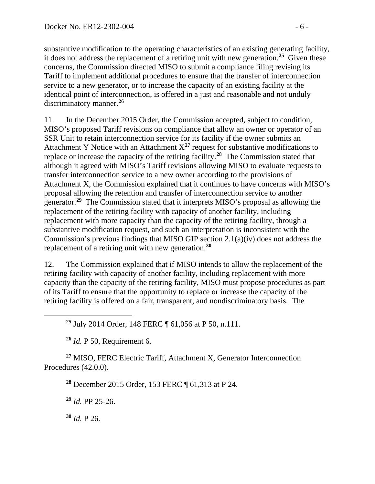substantive modification to the operating characteristics of an existing generating facility, it does not address the replacement of a retiring unit with new generation.**[25](#page-5-0)** Given these concerns, the Commission directed MISO to submit a compliance filing revising its Tariff to implement additional procedures to ensure that the transfer of interconnection service to a new generator, or to increase the capacity of an existing facility at the identical point of interconnection, is offered in a just and reasonable and not unduly discriminatory manner.**[26](#page-5-1)**

11. In the December 2015 Order, the Commission accepted, subject to condition, MISO's proposed Tariff revisions on compliance that allow an owner or operator of an SSR Unit to retain interconnection service for its facility if the owner submits an Attachment Y Notice with an Attachment  $X^{27}$  $X^{27}$  $X^{27}$  request for substantive modifications to replace or increase the capacity of the retiring facility.**[28](#page-5-3)** The Commission stated that although it agreed with MISO's Tariff revisions allowing MISO to evaluate requests to transfer interconnection service to a new owner according to the provisions of Attachment X, the Commission explained that it continues to have concerns with MISO's proposal allowing the retention and transfer of interconnection service to another generator. **[29](#page-5-4)** The Commission stated that it interprets MISO's proposal as allowing the replacement of the retiring facility with capacity of another facility, including replacement with more capacity than the capacity of the retiring facility, through a substantive modification request, and such an interpretation is inconsistent with the Commission's previous findings that MISO GIP section 2.1(a)(iv) does not address the replacement of a retiring unit with new generation.**[30](#page-5-5)**

12. The Commission explained that if MISO intends to allow the replacement of the retiring facility with capacity of another facility, including replacement with more capacity than the capacity of the retiring facility, MISO must propose procedures as part of its Tariff to ensure that the opportunity to replace or increase the capacity of the retiring facility is offered on a fair, transparent, and nondiscriminatory basis. The

**<sup>25</sup>** July 2014 Order, 148 FERC ¶ 61,056 at P 50, n.111.

**<sup>26</sup>** *Id.* P 50, Requirement 6.

<span id="page-5-4"></span><span id="page-5-3"></span><span id="page-5-2"></span><span id="page-5-1"></span>**<sup>27</sup>** MISO, FERC Electric Tariff, Attachment X, Generator Interconnection Procedures (42.0.0).

**<sup>28</sup>** December 2015 Order, 153 FERC ¶ 61,313 at P 24.

**<sup>29</sup>** *Id.* PP 25-26.

<span id="page-5-5"></span>**<sup>30</sup>** *Id.* P 26.

<span id="page-5-0"></span> $\overline{a}$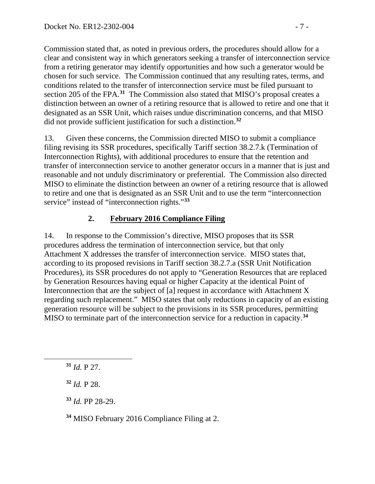Commission stated that, as noted in previous orders, the procedures should allow for a clear and consistent way in which generators seeking a transfer of interconnection service from a retiring generator may identify opportunities and how such a generator would be chosen for such service. The Commission continued that any resulting rates, terms, and conditions related to the transfer of interconnection service must be filed pursuant to section 205 of the FPA. **[31](#page-6-0)** The Commission also stated that MISO's proposal creates a distinction between an owner of a retiring resource that is allowed to retire and one that it designated as an SSR Unit, which raises undue discrimination concerns, and that MISO did not provide sufficient justification for such a distinction. **[32](#page-6-1)**

13. Given these concerns, the Commission directed MISO to submit a compliance filing revising its SSR procedures, specifically Tariff section 38.2.7.k (Termination of Interconnection Rights), with additional procedures to ensure that the retention and transfer of interconnection service to another generator occurs in a manner that is just and reasonable and not unduly discriminatory or preferential. The Commission also directed MISO to eliminate the distinction between an owner of a retiring resource that is allowed to retire and one that is designated as an SSR Unit and to use the term "interconnection service" instead of "interconnection rights."**[33](#page-6-2)**

# **2. February 2016 Compliance Filing**

14. In response to the Commission's directive, MISO proposes that its SSR procedures address the termination of interconnection service, but that only Attachment X addresses the transfer of interconnection service. MISO states that, according to its proposed revisions in Tariff section 38.2.7.a (SSR Unit Notification Procedures), its SSR procedures do not apply to "Generation Resources that are replaced by Generation Resources having equal or higher Capacity at the identical Point of Interconnection that are the subject of [a] request in accordance with Attachment X regarding such replacement." MISO states that only reductions in capacity of an existing generation resource will be subject to the provisions in its SSR procedures, permitting MISO to terminate part of the interconnection service for a reduction in capacity.**[34](#page-6-3)**

<span id="page-6-2"></span><span id="page-6-1"></span><span id="page-6-0"></span> $\overline{a}$ 

**<sup>31</sup>** *Id.* P 27.

**<sup>32</sup>** *Id.* P 28.

**<sup>33</sup>** *Id.* PP 28-29.

<span id="page-6-3"></span>**<sup>34</sup>** MISO February 2016 Compliance Filing at 2.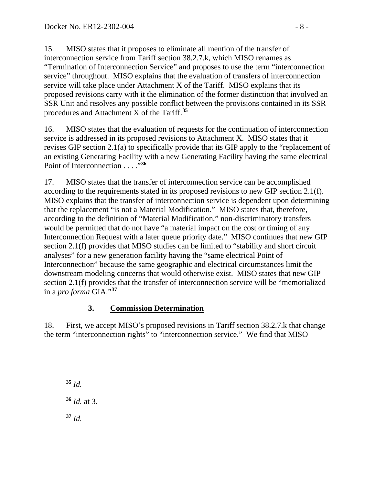15. MISO states that it proposes to eliminate all mention of the transfer of interconnection service from Tariff section 38.2.7.k, which MISO renames as "Termination of Interconnection Service" and proposes to use the term "interconnection service" throughout. MISO explains that the evaluation of transfers of interconnection service will take place under Attachment X of the Tariff. MISO explains that its proposed revisions carry with it the elimination of the former distinction that involved an SSR Unit and resolves any possible conflict between the provisions contained in its SSR procedures and Attachment X of the Tariff.**[35](#page-7-0)**

16. MISO states that the evaluation of requests for the continuation of interconnection service is addressed in its proposed revisions to Attachment X. MISO states that it revises GIP section 2.1(a) to specifically provide that its GIP apply to the "replacement of an existing Generating Facility with a new Generating Facility having the same electrical Point of Interconnection . . . . . . . [36](#page-7-1)

17. MISO states that the transfer of interconnection service can be accomplished according to the requirements stated in its proposed revisions to new GIP section 2.1(f). MISO explains that the transfer of interconnection service is dependent upon determining that the replacement "is not a Material Modification." MISO states that, therefore, according to the definition of "Material Modification," non-discriminatory transfers would be permitted that do not have "a material impact on the cost or timing of any Interconnection Request with a later queue priority date." MISO continues that new GIP section 2.1(f) provides that MISO studies can be limited to "stability and short circuit analyses" for a new generation facility having the "same electrical Point of Interconnection" because the same geographic and electrical circumstances limit the downstream modeling concerns that would otherwise exist. MISO states that new GIP section 2.1(f) provides that the transfer of interconnection service will be "memorialized in a *pro forma* GIA."**[37](#page-7-2)**

# **3. Commission Determination**

18. First, we accept MISO's proposed revisions in Tariff section 38.2.7.k that change the term "interconnection rights" to "interconnection service." We find that MISO

**<sup>35</sup>** *Id.*

<span id="page-7-2"></span><span id="page-7-1"></span><span id="page-7-0"></span> $\overline{a}$ 

**<sup>36</sup>** *Id.* at 3.

**<sup>37</sup>** *Id.*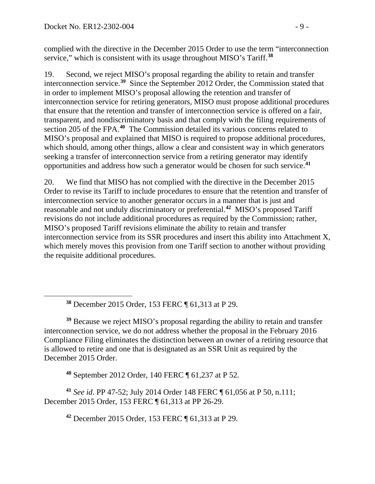<span id="page-8-0"></span> $\overline{a}$ 

complied with the directive in the December 2015 Order to use the term "interconnection service," which is consistent with its usage throughout MISO's Tariff.**[38](#page-8-0)**

19. Second, we reject MISO's proposal regarding the ability to retain and transfer interconnection service.**[39](#page-8-1)** Since the September 2012 Order, the Commission stated that in order to implement MISO's proposal allowing the retention and transfer of interconnection service for retiring generators, MISO must propose additional procedures that ensure that the retention and transfer of interconnection service is offered on a fair, transparent, and nondiscriminatory basis and that comply with the filing requirements of section 205 of the FPA.**[40](#page-8-2)** The Commission detailed its various concerns related to MISO's proposal and explained that MISO is required to propose additional procedures, which should, among other things, allow a clear and consistent way in which generators seeking a transfer of interconnection service from a retiring generator may identify opportunities and address how such a generator would be chosen for such service. **[41](#page-8-3)**

20. We find that MISO has not complied with the directive in the December 2015 Order to revise its Tariff to include procedures to ensure that the retention and transfer of interconnection service to another generator occurs in a manner that is just and reasonable and not unduly discriminatory or preferential.**[42](#page-8-4)** MISO's proposed Tariff revisions do not include additional procedures as required by the Commission; rather, MISO's proposed Tariff revisions eliminate the ability to retain and transfer interconnection service from its SSR procedures and insert this ability into Attachment X, which merely moves this provision from one Tariff section to another without providing the requisite additional procedures.

**<sup>38</sup>** December 2015 Order, 153 FERC ¶ 61,313 at P 29.

<span id="page-8-1"></span>**<sup>39</sup>** Because we reject MISO's proposal regarding the ability to retain and transfer interconnection service, we do not address whether the proposal in the February 2016 Compliance Filing eliminates the distinction between an owner of a retiring resource that is allowed to retire and one that is designated as an SSR Unit as required by the December 2015 Order.

**<sup>40</sup>** September 2012 Order, 140 FERC ¶ 61,237 at P 52.

<span id="page-8-4"></span><span id="page-8-3"></span><span id="page-8-2"></span>**<sup>41</sup>** *See id.* PP 47-52; July 2014 Order 148 FERC ¶ 61,056 at P 50, n.111; December 2015 Order, 153 FERC ¶ 61,313 at PP 26-29.

**<sup>42</sup>** December 2015 Order, 153 FERC ¶ 61,313 at P 29.